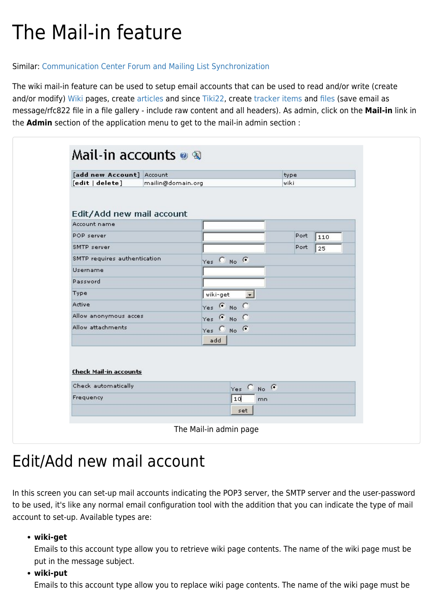# The Mail-in feature

### Similar: [Communication Center](https://doc.tiki.org/Communication-Center) [Forum and Mailing List Synchronization](https://doc.tiki.org/Forum-and-Mailing-List-Synchronization)

The wiki mail-in feature can be used to setup email accounts that can be used to read and/or write (create and/or modify) [Wiki](https://doc.tiki.org/Wiki) pages, create [articles](https://doc.tiki.org/Articles) and since [Tiki22](https://doc.tiki.org/Tiki22), create [tracker items](https://doc.tiki.org/Trackers) and [files](https://doc.tiki.org/File-Gallery) (save email as message/rfc822 file in a file gallery - include raw content and all headers). As admin, click on the **Mail-in** link in the **Admin** section of the application menu to get to the mail-in admin section :

| [add new Account] Account<br>[edit   delete]<br>mailin@domain.org<br>$Yes$ $@$ $No$ $@$ | type<br>wiki<br>Port<br>Port | 110 |
|-----------------------------------------------------------------------------------------|------------------------------|-----|
| Edit/Add new mail account<br>Account name<br>POP server                                 |                              |     |
|                                                                                         |                              |     |
|                                                                                         |                              |     |
| SMTP server                                                                             |                              |     |
| SMTP requires authentication                                                            |                              | 25  |
| <b>Username</b><br>Password                                                             |                              |     |
|                                                                                         |                              |     |
|                                                                                         |                              |     |
| Type<br>wiki-get<br>$\overline{ }$                                                      |                              |     |
| Active<br>$Yes \oplus No \oplus$                                                        |                              |     |
| Allow anonymous acces<br>$Yes \oplus No \oplus$                                         |                              |     |
| Allow attachments<br>$Yes$ $\bullet$ No $\bullet$                                       |                              |     |
| add                                                                                     |                              |     |
| <b>Check Mail-in accounts</b><br>Check automatically<br>Yes C No G<br>Frequency<br>10   | mn                           |     |

# Edit/Add new mail account

In this screen you can set-up mail accounts indicating the POP3 server, the SMTP server and the user-password to be used, it's like any normal email configuration tool with the addition that you can indicate the type of mail account to set-up. Available types are:

**wiki-get**

Emails to this account type allow you to retrieve wiki page contents. The name of the wiki page must be put in the message subject.

#### **wiki-put**

Emails to this account type allow you to replace wiki page contents. The name of the wiki page must be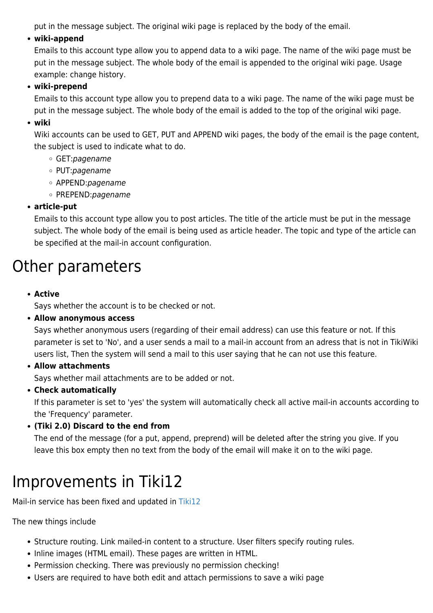put in the message subject. The original wiki page is replaced by the body of the email.

## **wiki-append**

Emails to this account type allow you to append data to a wiki page. The name of the wiki page must be put in the message subject. The whole body of the email is appended to the original wiki page. Usage example: change history.

## **wiki-prepend**

Emails to this account type allow you to prepend data to a wiki page. The name of the wiki page must be put in the message subject. The whole body of the email is added to the top of the original wiki page.

### **wiki**

Wiki accounts can be used to GET, PUT and APPEND wiki pages, the body of the email is the page content, the subject is used to indicate what to do.

- GET:pagename
- PUT:pagename
- o APPEND: pagename
- o PREPEND: pagename

# **article-put**

Emails to this account type allow you to post articles. The title of the article must be put in the message subject. The whole body of the email is being used as article header. The topic and type of the article can be specified at the mail-in account configuration.

# Other parameters

**Active**

Says whether the account is to be checked or not.

### **Allow anonymous access**

Says whether anonymous users (regarding of their email address) can use this feature or not. If this parameter is set to 'No', and a user sends a mail to a mail-in account from an adress that is not in TikiWiki users list, Then the system will send a mail to this user saying that he can not use this feature.

**Allow attachments**

Says whether mail attachments are to be added or not.

# **Check automatically**

If this parameter is set to 'yes' the system will automatically check all active mail-in accounts according to the 'Frequency' parameter.

**(Tiki 2.0) Discard to the end from**

The end of the message (for a put, append, preprend) will be deleted after the string you give. If you leave this box empty then no text from the body of the email will make it on to the wiki page.

# Improvements in Tiki12

Mail-in service has been fixed and updated in [Tiki12](https://doc.tiki.org/Tiki12)

The new things include

- Structure routing. Link mailed-in content to a structure. User filters specify routing rules.
- Inline images (HTML email). These pages are written in HTML.
- Permission checking. There was previously no permission checking!
- Users are required to have both edit and attach permissions to save a wiki page